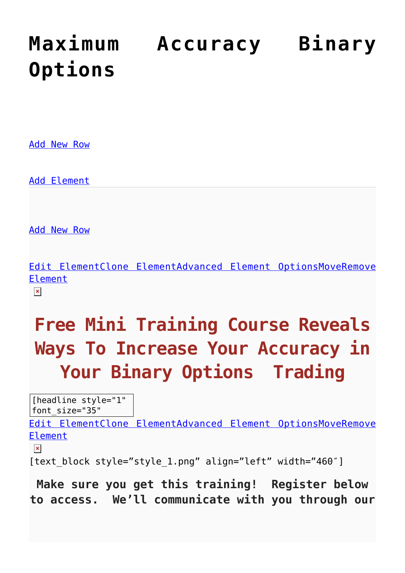# **[Maximum Accuracy Binary](https://binaryoptionsauthority.com/free-binary-options-training/maximum-accuracy-binary-options/) [Options](https://binaryoptionsauthority.com/free-binary-options-training/maximum-accuracy-binary-options/)**

[Add New Row](#page--1-0)

[Add Element](#page--1-0)

[Add New Row](#page--1-0)

[Edit ElementClone ElementAdvanced Element OptionsMoveRemove](#page--1-0) [Element](#page--1-0)

 $\pmb{\times}$ 

## **Free Mini Training Course Reveals Ways To Increase Your Accuracy in Your Binary Options Trading**

[headline style="1" font\_size="35"

[Edit ElementClone ElementAdvanced Element OptionsMoveRemove](#page--1-0) [Element](#page--1-0)

 $\pmb{\times}$ 

[text block style="style 1.png" align="left" width="460"]

**Make sure you get this training! Register below to access. We'll communicate with you through our**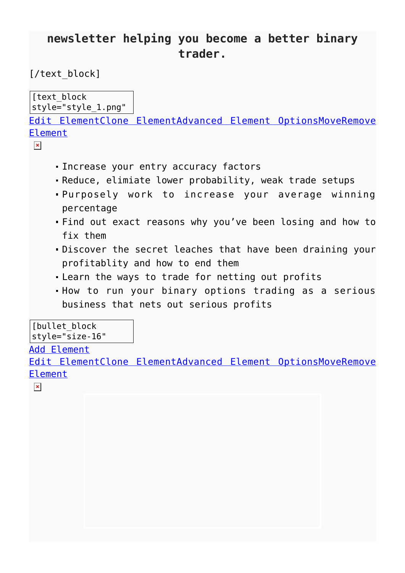### **newsletter helping you become a better binary trader.**

#### [/text block]

[text block] style="style\_1.png" [Edit ElementClone ElementAdvanced Element OptionsMoveRemove](#page--1-0)

[Element](#page--1-0)

- $\pmb{\times}$
- Increase your entry accuracy factors
- Reduce, elimiate lower probability, weak trade setups
- Purposely work to increase your average winning percentage
- Find out exact reasons why you've been losing and how to fix them
- Discover the secret leaches that have been draining your profitablity and how to end them
- Learn the ways to trade for netting out profits
- How to run your binary options trading as a serious business that nets out serious profits

[bullet block] style="size-16"

#### [Add Element](#page--1-0)

[Edit ElementClone ElementAdvanced Element OptionsMoveRemove](#page--1-0) [Element](#page--1-0)

 $\pmb{\times}$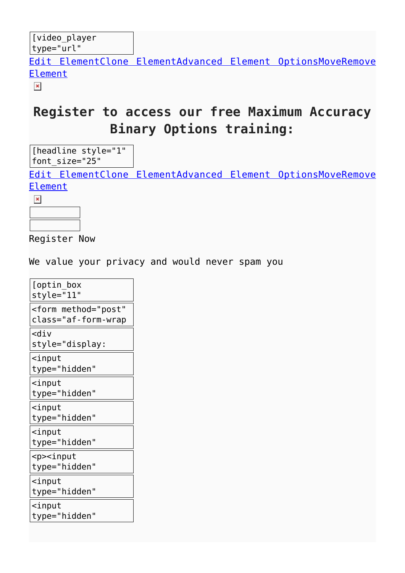[Edit ElementClone ElementAdvanced Element OptionsMoveRemove](#page--1-0) [Element](#page--1-0)

 $\pmb{\times}$ 

### **Register to access our free Maximum Accuracy Binary Options training:**

[headline style="1" font\_size="25"

[Edit ElementClone ElementAdvanced Element OptionsMoveRemove](#page--1-0) [Element](#page--1-0)

 $\pmb{\times}$ 



Register Now

We value your privacy and would never spam you

| [optin box<br>style="11"                              |
|-------------------------------------------------------|
| <form <br="" method="post">class="af-form-wrap</form> |
| <div< td=""></div<>                                   |
| style="display:                                       |
| $\leq$ input<br>type="hidden"                         |
| $\mathsf{cinput}$<br>type="hidden"                    |
|                                                       |
| $\operatorname{\textsf{i}}$ nput<br>type="hidden"     |
| $\leq$ input<br>type="hidden"                         |
| <p><input<br>type="hidden"</input<br></p>             |
| $\leq$ input<br>type="hidden"                         |
| $\mathsf{S}$ input<br>type="hidden"                   |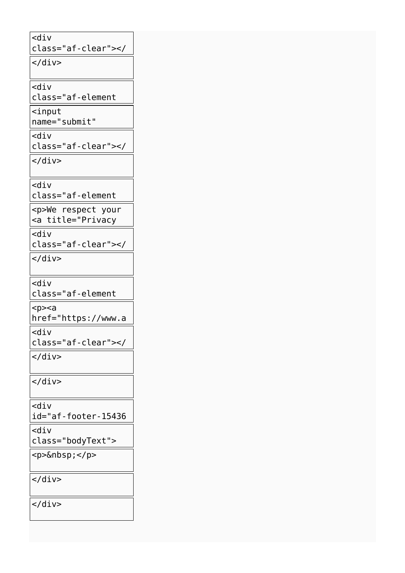<div class="af-clear"></ </div> <div class="af-element <input name="submit" <div class="af-clear"></ div> </div> <div class="af-element privacyPolicy" <p>We respect your <a title="Privacy Policy" <div class="af-clear"></ </div> <div class="af-element poweredBy" <p><a href="https://www.a weber.com" <div class="af-clear"></ div> </div> </div> <div id="af-footer-15436 84672" <div class="bodyText"> <p>&nbsp;</p> </div> </div>